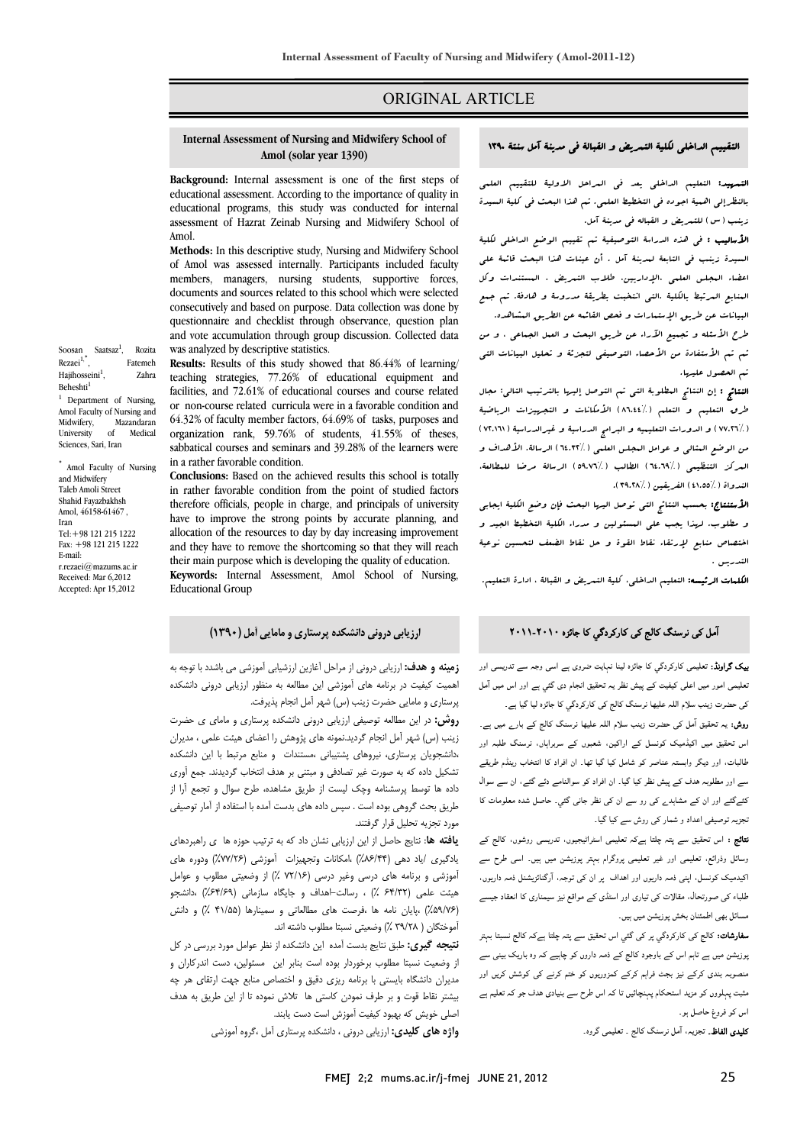# ORIGINAL ARTICLE

# **Internal Assessment of Nursing and Midwifery School of Amol (solar year 1390)**

Ī  $\overline{a}$ 

 **Background:** Internal assessment is one of the first steps of educational programs, this study was conducted for internal assessment of Hazrat Zeinab Nursing and Midwifery School of educational assessment. According to the importance of quality in Amol.

 **Methods:** In this descriptive study, Nursing and Midwifery School of Amol was assessed internally. Participants included faculty members, managers, nursing students, supportive forces, consecutively and based on purpose. Data collection was done by questionnaire and checklist through observance, question plan and vote accumulation through group discussion. Collected data<br>was analyzed by descriptive statistics documents and sources related to this school which were selected was analyzed by descriptive statistics.

 **Results:** Results of this study showed that 86.44% of learning/ teaching strategies, 77.26% of educational equipment and or non-course related curricula were in a favorable condition and 64.32% of faculty member factors, 64.69% of tasks, purposes and sabbatical courses and seminars and 39.28% of the learners were facilities, and 72.61% of educational courses and course related organization rank, 59.76% of students, 41.55% of theses, in a rather favorable condition.

**Conclusions:** Based on the achieved results this school is totally therefore officials, people in charge, and principals of university have to improve the strong points by accurate planning, and and they have to remove the shortcoming so that they will reach their main purpose which is developing the quality of education. **Keywords:** Internal Assessment, Amol School of Nursing, in rather favorable condition from the point of studied factors allocation of the resources to day by day increasing improvement Educational Group

Soosan Saatsaz<sup>1</sup>, Rozita Rezaei<sup>1,\*</sup>, , Fatemeh Hajihosseini $<sup>1</sup>$ .</sup> , Zahra Beheshti<sup>1</sup> <sup>1</sup> Department of Nursing,

Amol Faculty of Nursing and<br>Midwifery. Mazandaran Midwifery, M<br>University of University of Medical Sciences, Sari, Iran

Amol Faculty of Nursing and Midwifery Taleb Amoli Street Shahid Fayazbakhsh Amol, 46158-61467 , Iran Tel:+98 121 215 1222 Fax: +98 121 215 1222 E-mail: r.rezaei@mazums.ac.ir Received: Mar 6,2012 Accepted: Apr 15,2012

## التقييم الداخلي لكلية التمريض و القبالة في مدينة آمل سنتة 1390

Ī  $\overline{a}$ 

 التمهيد: التعليم الداخلي يعد في المراحل الاولية للتقييم العلمي بالنظرإلي اهمية اجوده في التخطيط العلمي. تم هذا البحث في كلية السيدة زينب (س) للتمريض و القباله في مدينة آمل.

ا**لأساليب :** فى هذه الدراسة التوصيفية تم تقييم الوضع الداخلى لكلية السيدة زينب في التابعة لمدينة آمل . أن عينات هذا البحث قائمة علي اعضاء المجلس العلمي ،الإداريين، طلاب التمريض ، المستندات وكل المنابع المرتبط بالكلية .التي انتخبت بطريقة مدروسة و هادفة. تم جمع البيانات عن طريق الإستعارات و فحص القائمه عن الطريق العشاهده.<br>.

طرح الأسئله و تجميع الآراء عن طريق البحث و العمل الجماعي ، و من<br>مستقدم المقدم : و من المعدن : ثم تم الأستفادة من الأحصاء التوصيفي لتجزئة و تحليل البيانات التي تم الحصول عليها.

 النتائج : إن النتائج المطلوبة التي تم التوصل إليها بالترتيب التالي: مجال ج من التحديث التعليم و التعليم (194.4%) الأمكانات و التجهيزات الرياضية<br>طرق التعليم و التعلم (1,144%) الأمكانات و التجهيزات الرياضية .<br>: //VV.T ) و الدورات التعليميه و البرامج الدراسية و غيرالدراسية ( ٧٢.١٦١ ) من الوضع المثالي و عوامل المجلس العلمي (64.32%) الرسالة. الأهداف و المركز التنظيمي (64.69%) الطالب (59.76%) الرسالة مرضا للمطالعة، الندواة (41.55%) الفريقين (39.28%).

 الأستنتاج: بحسب النتائج التي توصل اليها البحث فإن وضع الكلية ايجابي و مطلوب. لهذا يجب علي المسئولين و مدراء الكلية التخطيط الجيد و اختصاص منابع لإرتقاء نقاط القوة و حل نقاط الضعف لتحسين نوعية التدريس .

ا**لكلمات الرئيسه:** التعليم الداخلى، كلية التمريض و القبالة ، ادارة التعليم.

# آمل کی نرسنگ کالج کی کارکردگي کا جائزہ ۲۰۱۱-۲۰۱۰

 بیک گراونڈ: تعلیمی کارکردگي کا جائزہ لینا نہایت ضروی ہے اسی وجہ سے تدریسی اور تعلیمی امور میں اعلی کیفیت کے پیش نظر یہ تحقیق انجام دی گئي ہے اور اس میں آمل کی حضرت زینب سلام اللہ علیھا نرسنگ کالج کی کارکردگي کا جائزہ لیا گيا ہے۔

 روش: یہ تحقیق آمل کی حضرت زینب سلام اللہ علیھا نرسنگ کالج کے بارے میں ہے۔ اس تحقیق میں اکیڈمیک کونسل کے اراکین، شعبوں کے سربراہاں، نرسنگ طلبہ اور طالبات، اور دیگر وابستہ عناصر کو شامل کیا گيا تھا۔ ان افراد کا انتخاب رینڈم طریقے سے اور مطلوبہ ھدف کے پیش نظر کیا گيا۔ ان افراد کو سوالنامے دئے گئے، ان سے سوال کئےگئے اور ان کے مشاہدے کی رو سے ان کی نظر جانی گئي۔ حاصل شدہ معلومات کا تجزیہ توصیفی اعداد و شمار کی روش سے کیا گيا۔

 نتائج : اس تحقیق سے پتہ چلتا ہےکہ تعلیمی اسٹراٹیجیوں، تدریسی روشوں، کالج کے وسائل وذرائع، تعلیمی اور غیر تعلیمی پروگرام بہتر پوزیشن میں ہیں۔ اسی طرح سے اکیدمیک کونسل، اپنی ذمہ داریوں اور اھداف پر ان کی توجہ، آرگنائزیشنل ذمہ داریوں، طلباء کی صورتحال، مقالات کی تیاری اور اسٹڈی کے مواقع نیز سیمناری کا انعقاد جیسے مسائل بھی اطمئنان بخش پوزیشن میں ہیں۔

**سفارشات:** کالج کی کارکردگي پر کی گئي اس تحقیق سے پتہ چلتا ہےکہ کالج نسبتا بہتر پوزیشن میں ہے تاہم اس کے باوجود کالج کے ذمہ داروں کو چاہیے کہ وہ باریک بینی سے منصوبہ بندی کرکے نیز بجٹ فراہم کرکے کمزوریوں کو ختم کرنے کی کوشش کریں اور مثبت پہلووں کو مزید استحکام پہنچائيں تا کہ اس طرح سے بنیادی ھدف جو کہ تعلیم ہے اس کو فروغ حاصل ہو۔

کلیدی الفاظ۔ تجزیہ، آمل نرسنگ کالج ۔ تعلیمی گروہ۔

 **زمينه و هدف:** ارزيابي دروني از مراحل آغازين ارزشيابي آموزشي مي باشدد با توجه به اهميت كيفيت در برنامه هاي آموزشي اين مطالعه به منظور ارزيابي دروني دانشكده

**ارزيابي دروني دانشكده پرستاري ومامايي آمل (1390)** 

پرستاري و مامايي حضرت زينب (س) شهر آمل انجام پذيرفت.

 **روش:** در اين مطالعه توصيفي ارزيابي دروني دانشكده پرستاري و ماماي ي حضرت زينب (س) شهر آمل انجام گرديد.نمونه هاي پژوهش را اعضاي هيئت علمي ، مديران ،دانشجويان پرستاري، نيروهاي پشتيباني ،مستندات و منابع مرتبط با اين دانشكده تشكيل داده كه به صورت غير تصادفي و مبتني بر هدف انتخاب گرديدند. جمع آوري داده که گوشت پرسستاند وچات گیست .از طریق مساهده، طرح شوان و جایتم .از ابر<br>طریق بحث گروهی بوده است . سپس داده های بدست آمده با استفاده از آمار توصیفی مورد تجزيه تحليل قرار گرفتند. داده ها توسط پرسشنامه وچك ليست از طريق مشاهده، طرح سوال و تجمع آرا از

 **يافته ها**: نتايج حاصل از اين ارزيابي نشان داد كه به ترتيب حوزه ها ي راهبردهاي يادگيري /ياد دهي (%86/44) ،امكانات وتجهيزات آموزشي (%77/26) ودوره هاي آموزشي و برنامه هاي درسي وغير درسي (72/16 %) از وضعيتي مطلوب و عوامل هيئت علمي (64/32 %) ، رسالت- اهداف و جايگاه سازماني (%64/69) ،دانشجو (%59/76) ،پايان نامه ها ،فرصت هاي مطالعاتي و سمينارها (41/55 %) و دانش آموختگان ( 39/28 %) وضعيتي نسبتا مطلوب داشته اند.

 **نتيجه گيري:** طبق نتايج بدست آمده اين دانشكده از نظر عوامل مورد بررسي در كل از وضعيت نسبتا مطلوب برخوردار بوده است بنابر اين مسئولين، دست اندركاران و مديران دانشگاه بايستي با برنامه ريزي دقيق و اختصاص منابع جهت ارتقاي هر چه بيشتر نقاط قوت و بر طرف نمودن كاستي ها تلاش نموده تا از اين طريق به هدف اصلي خويش كه بهبود كيفيت آموزش است دست يابند.

**واژه هاي كليدي:** ارزيابي دروني ، دانشكده پرستاري آمل ،گروه آموزشي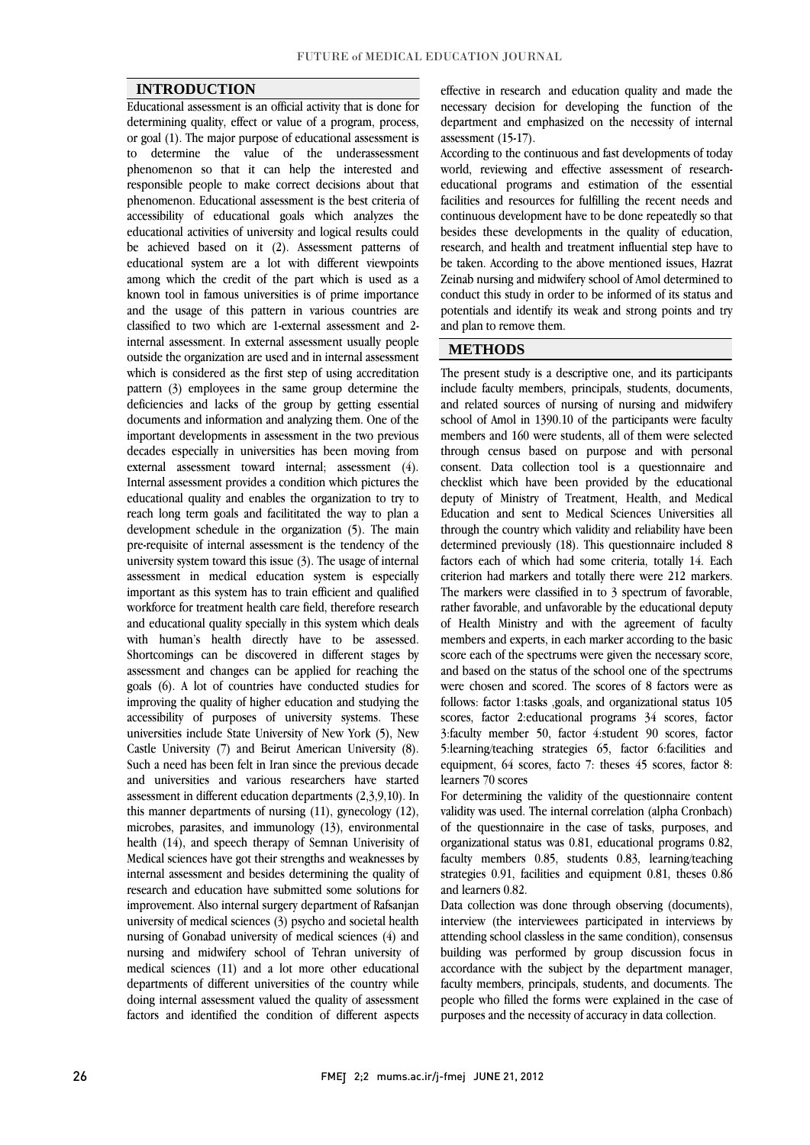#### **INTRODUCTION**

 Educational assessment is an official activity that is done for determining quality, effect or value of a program, process, or goal (1). The major purpose of educational assessment is phenomenon so that it can help the interested and responsible people to make correct decisions about that phenomenon. Educational assessment is the best criteria of educational activities of university and logical results could be achieved based on it (2). Assessment patterns of educational system are a lot with different viewpoints among which the credit of the part which is used as a and the usage of this pattern in various countries are classified to two which are 1-external assessment and 2- internal assessment. In external assessment usually people outside the organization are used and in internal assessment pattern (3) employees in the same group determine the deficiencies and lacks of the group by getting essential documents and information and analyzing them. One of the important developments in assessment in the two previous external assessment toward internal; assessment (4). Internal assessment provides a condition which pictures the educational quality and enables the organization to try to development schedule in the organization (5). The main pre-requisite of internal assessment is the tendency of the university system toward this issue (3). The usage of internal assessment in medical education system is especially workforce for treatment health care field, therefore research and educational quality specially in this system which deals with human's health directly have to be assessed. Shortcomings can be discovered in different stages by assessment and enanges can be applied for reaching the goals (6). A lot of countries have conducted studies for improving the quality of higher education and studying the accessibility of purposes of university systems. These universities include State University of New York (5), New Such a need has been felt in Iran since the previous decade and universities and various researchers have started assessment in different education departments (2,3,9,10). In this manner departments of nursing  $(11)$ , gynecology  $(12)$ , health (14), and speech therapy of Semnan University of Medical sciences have got their strengths and weaknesses by internal assessment and besides determining the quality of research and education have subhitted some solutions for<br>improvement. Also internal surgery department of Rafsanjan university of medical sciences (3) psycho and societal health nursing of Gonabad university of medical sciences (4) and nursing and midwifery school of Tehran university of departments of different universities of the country while doing internal assessment valued the quality of assessment factors and identified the condition of different aspects to determine the value of the underassessment accessibility of educational goals which analyzes the known tool in famous universities is of prime importance which is considered as the first step of using accreditation decades especially in universities has been moving from reach long term goals and facilititated the way to plan a important as this system has to train efficient and qualified assessment and changes can be applied for reaching the Castle University (7) and Beirut American University (8). microbes, parasites, and immunology (13), environmental research and education have submitted some solutions for medical sciences (11) and a lot more other educational

 necessary decision for developing the function of the department and emphasized on the necessity of internal effective in research and education quality and made the assessment (15-17).

assessment (19-17).<br>According to the continuous and fast developments of today world, reviewing and effective assessment of research- educational programs and estimation of the essential facilities and resources for fulfilling the recent needs and besides these developments in the quality of education, research, and health and treatment influential step have to be taken. According to the above mentioned issues, Hazrat Zeinab nursing and midwifery school of Amol determined to potentials and identify its weak and strong points and try continuous development have to be done repeatedly so that conduct this study in order to be informed of its status and and plan to remove them.

٦

## **METHODS**

 The present study is a descriptive one, and its participants include faculty members, principals, students, documents, and related sources of nursing of nursing and midwifery school of Amol in 1390.10 of the participants were faculty through census based on purpose and with personal consent. Data collection tool is a questionnaire and checklist which have been provided by the educational deputy of Ministry of Treatment, Health, and Medical through the country which validity and reliability have been determined previously (18). This questionnaire included 8 factors each of which had some criteria, totally 14. Each criterion had markers and totally there were 212 markers. rather favorable, and unfavorable by the educational deputy of Health Ministry and with the agreement of faculty members and experts, in each marker according to the basic score each of the spectrums were given the necessary score, were chosen and scored. The scores of 8 factors were as follows: factor 1:tasks ,goals, and organizational status 105 scores, factor 2:educational programs 34 scores, factor 3:faculty member 50, factor 4:student 90 scores, factor equipment, 64 scores, facto 7: theses 45 scores, factor 8: members and 160 were students, all of them were selected Education and sent to Medical Sciences Universities all The markers were classified in to 3 spectrum of favorable, and based on the status of the school one of the spectrums 5:learning/teaching strategies 65, factor 6:facilities and learners 70 scores

 For determining the validity of the questionnaire content of the questionnaire in the case of tasks, purposes, and organizational status was 0.81, educational programs 0.82, faculty members 0.85, students 0.83, learning/teaching strategies 0.91, facilities and equipment 0.81, theses 0.86 validity was used. The internal correlation (alpha Cronbach) and learners 0.82.

 Data collection was done through observing (documents), interview (the interviewees participated in interviews by attending school classless in the same condition), consensus building was performed by group discussion focus in faculty members, principals, students, and documents. The people who filled the forms were explained in the case of accordance with the subject by the department manager, purposes and the necessity of accuracy in data collection.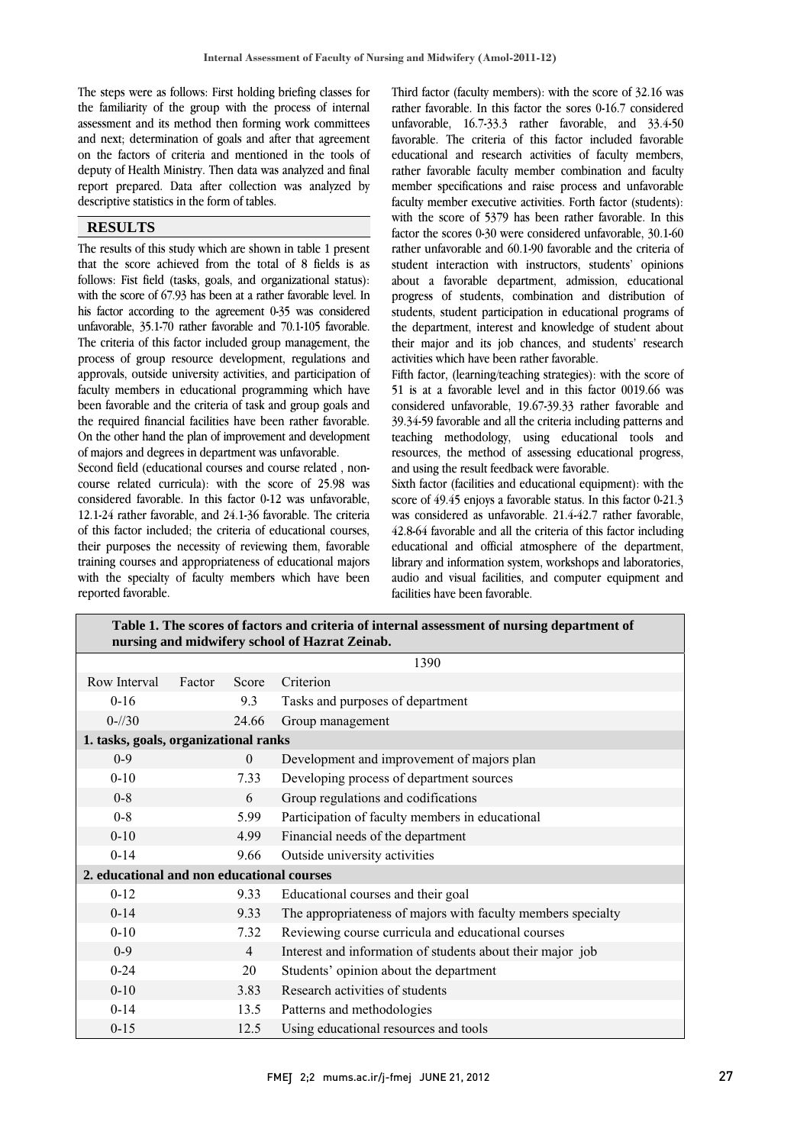The steps were as follows: First holding briefing classes for the familiarity of the group with the process of internal assessment and its method then forming work committees and next; determination of goals and after that agreement deputy of Health Ministry. Then data was analyzed and final report prepared. Data after collection was analyzed by on the factors of criteria and mentioned in the tools of descriptive statistics in the form of tables.

#### **RESULTS**

 The results of this study which are shown in table 1 present that the score achieved from the total of 8 fields is as follows: Fist field (tasks, goals, and organizational status): while the score of 07.33 has been at a rather favorable fever. In<br>his factor according to the agreement 0-35 was considered unfavorable, 35.1-70 rather favorable and 70.1-105 favorable. The criteria of this factor included group management, the process of group resource development, regulations and faculty members in educational programming which have been favorable and the criteria of task and group goals and the required financial facilities have been rather favorable. On the other hand the plan of improvement and development with the score of 67.93 has been at a rather favorable level. In approvals, outside university activities, and participation of of majors and degrees in department was unfavorable.

 Second field (educational courses and course related , non- course related curricula): with the score of 25.98 was considered favorable. In this factor 0-12 was unfavorable, of this factor included; the criteria of educational courses, their purposes the necessity of reviewing them, favorable training courses and appropriateness of educational majors with the specialty of faculty members which have been 12.1-24 rather favorable, and 24.1-36 favorable. The criteria reported favorable.

 Third factor (faculty members): with the score of 32.16 was rather favorable. In this factor the sores 0-16.7 considered unfavorable, 16.7-33.3 rather favorable, and 33.4-50 favorable. The criteria of this factor included favorable rather favorable faculty member combination and faculty faculty member executive activities. Forth factor (students): with the score of 33/3 has been rather favorable, 10.1-60 factor the scores 0-30 were considered unfavorable, 30.1-60 rather unfavorable and 60.1-90 favorable and the criteria of student interaction with instructors, students' opinions about a favorable department, admission, educational progress or students, combination and distinguion of students, student participation in educational programs of the department, interest and knowledge of student about their major and its job chances, and students' research educational and research activities of faculty members, member specifications and raise process and unfavorable with the score of 5379 has been rather favorable. In this progress of students, combination and distribution of activities which have been rather favorable.

activities which have been rather favorable.<br>Fifth factor, (learning/teaching strategies): with the score of 51 is at a favorable level and in this factor 0019.66 was considered unfavorable, 19.67-39.33 rather favorable and 39.34-59 favorable and all the criteria including patterns and teaching methodology, using educational tools and resources, the method of assessing educational progress,<br>and using the result feedback were favorable and using the result feedback were favorable.

 Sixth factor (facilities and educational equipment): with the score of 49.45 enjoys a favorable status. In this factor 0-21.3 was considered as unlavorable. 21.4-42./ rather lavorable,<br>42.8-64 favorable and all the criteria of this factor including educational and official atmosphere of the department, library and information system, workshops and laboratories, audio and visual facilities, and computer equipment and was considered as unfavorable. 21.4-42.7 rather favorable, facilities have been favorable.

| Table 1. The scores of factors and criteria of internal assessment of nursing department of<br>nursing and midwifery school of Hazrat Zeinab. |        |                |                                                              |  |  |  |  |
|-----------------------------------------------------------------------------------------------------------------------------------------------|--------|----------------|--------------------------------------------------------------|--|--|--|--|
|                                                                                                                                               | 1390   |                |                                                              |  |  |  |  |
| Row Interval                                                                                                                                  | Factor | Score          | Criterion                                                    |  |  |  |  |
| $0 - 16$                                                                                                                                      |        | 9.3            | Tasks and purposes of department                             |  |  |  |  |
| $0 - \frac{1}{30}$                                                                                                                            |        | 24.66          | Group management                                             |  |  |  |  |
| 1. tasks, goals, organizational ranks                                                                                                         |        |                |                                                              |  |  |  |  |
| $0 - 9$                                                                                                                                       |        | $\theta$       | Development and improvement of majors plan                   |  |  |  |  |
| $0 - 10$                                                                                                                                      |        | 7.33           | Developing process of department sources                     |  |  |  |  |
| $0 - 8$                                                                                                                                       |        | 6              | Group regulations and codifications                          |  |  |  |  |
| $0 - 8$                                                                                                                                       |        | 5.99           | Participation of faculty members in educational              |  |  |  |  |
| $0 - 10$                                                                                                                                      |        | 4.99           | Financial needs of the department                            |  |  |  |  |
| $0 - 14$                                                                                                                                      |        | 9.66           | Outside university activities                                |  |  |  |  |
| 2. educational and non educational courses                                                                                                    |        |                |                                                              |  |  |  |  |
| $0 - 12$                                                                                                                                      |        | 9.33           | Educational courses and their goal                           |  |  |  |  |
| $0 - 14$                                                                                                                                      |        | 9.33           | The appropriateness of majors with faculty members specialty |  |  |  |  |
| $0 - 10$                                                                                                                                      |        | 7.32           | Reviewing course curricula and educational courses           |  |  |  |  |
| $0 - 9$                                                                                                                                       |        | $\overline{4}$ | Interest and information of students about their major job   |  |  |  |  |
| $0 - 24$                                                                                                                                      |        | 20             | Students' opinion about the department                       |  |  |  |  |
| $0 - 10$                                                                                                                                      |        | 3.83           | Research activities of students                              |  |  |  |  |
| $0 - 14$                                                                                                                                      |        | 13.5           | Patterns and methodologies                                   |  |  |  |  |
| $0 - 15$                                                                                                                                      |        | 12.5           | Using educational resources and tools                        |  |  |  |  |

 $\sim$   $\sim$   $\sim$   $\sim$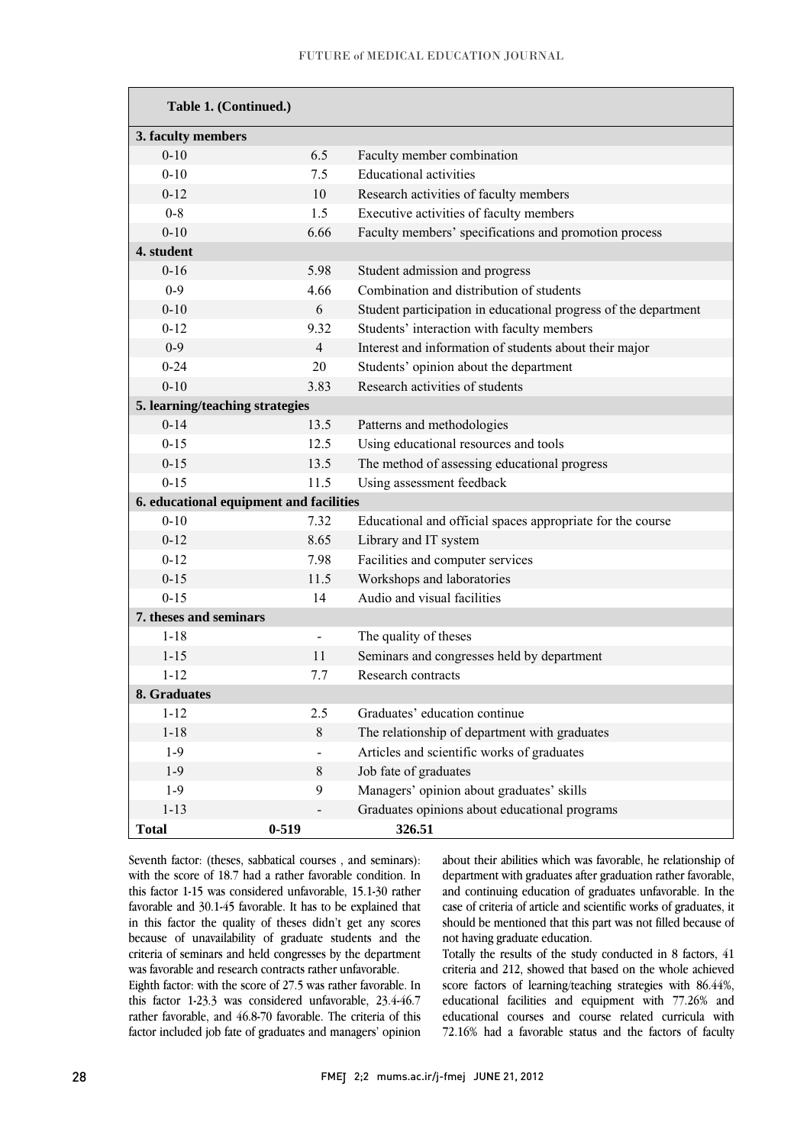| Table 1. (Continued.)                   |                |                                                                 |  |  |  |  |  |  |  |
|-----------------------------------------|----------------|-----------------------------------------------------------------|--|--|--|--|--|--|--|
| 3. faculty members                      |                |                                                                 |  |  |  |  |  |  |  |
| $0 - 10$                                | 6.5            | Faculty member combination                                      |  |  |  |  |  |  |  |
| $0 - 10$                                | 7.5            | <b>Educational activities</b>                                   |  |  |  |  |  |  |  |
| $0 - 12$                                | 10             | Research activities of faculty members                          |  |  |  |  |  |  |  |
| $0 - 8$                                 | 1.5            | Executive activities of faculty members                         |  |  |  |  |  |  |  |
| $0 - 10$                                | 6.66           | Faculty members' specifications and promotion process           |  |  |  |  |  |  |  |
| 4. student                              |                |                                                                 |  |  |  |  |  |  |  |
| $0 - 16$                                | 5.98           | Student admission and progress                                  |  |  |  |  |  |  |  |
| $0 - 9$                                 | 4.66           | Combination and distribution of students                        |  |  |  |  |  |  |  |
| $0 - 10$                                | 6              | Student participation in educational progress of the department |  |  |  |  |  |  |  |
| $0 - 12$                                | 9.32           | Students' interaction with faculty members                      |  |  |  |  |  |  |  |
| $0 - 9$                                 | $\overline{4}$ | Interest and information of students about their major          |  |  |  |  |  |  |  |
| $0 - 24$                                | 20             | Students' opinion about the department                          |  |  |  |  |  |  |  |
| $0 - 10$                                | 3.83           | Research activities of students                                 |  |  |  |  |  |  |  |
| 5. learning/teaching strategies         |                |                                                                 |  |  |  |  |  |  |  |
| $0 - 14$                                | 13.5           | Patterns and methodologies                                      |  |  |  |  |  |  |  |
| $0 - 15$                                | 12.5           | Using educational resources and tools                           |  |  |  |  |  |  |  |
| $0 - 15$                                | 13.5           | The method of assessing educational progress                    |  |  |  |  |  |  |  |
| $0 - 15$                                | 11.5           | Using assessment feedback                                       |  |  |  |  |  |  |  |
| 6. educational equipment and facilities |                |                                                                 |  |  |  |  |  |  |  |
| $0 - 10$                                | 7.32           | Educational and official spaces appropriate for the course      |  |  |  |  |  |  |  |
| $0 - 12$                                | 8.65           | Library and IT system                                           |  |  |  |  |  |  |  |
| $0 - 12$                                | 7.98           | Facilities and computer services                                |  |  |  |  |  |  |  |
| $0 - 15$                                | 11.5           | Workshops and laboratories                                      |  |  |  |  |  |  |  |
| $0 - 15$                                | 14             | Audio and visual facilities                                     |  |  |  |  |  |  |  |
| 7. theses and seminars                  |                |                                                                 |  |  |  |  |  |  |  |
| $1 - 18$                                | $\blacksquare$ | The quality of theses                                           |  |  |  |  |  |  |  |
| $1 - 15$                                | 11             | Seminars and congresses held by department                      |  |  |  |  |  |  |  |
| $1 - 12$                                | 7.7            | Research contracts                                              |  |  |  |  |  |  |  |
| 8. Graduates                            |                |                                                                 |  |  |  |  |  |  |  |
| $1 - 12$                                | 2.5            | Graduates' education continue                                   |  |  |  |  |  |  |  |
| $1 - 18$                                | $8\,$          | The relationship of department with graduates                   |  |  |  |  |  |  |  |
| $1-9$                                   |                | Articles and scientific works of graduates                      |  |  |  |  |  |  |  |
| $1-9$                                   | 8              | Job fate of graduates                                           |  |  |  |  |  |  |  |
| $1-9$                                   | 9              | Managers' opinion about graduates' skills                       |  |  |  |  |  |  |  |
| $1 - 13$                                |                | Graduates opinions about educational programs                   |  |  |  |  |  |  |  |
| <b>Total</b>                            | $0 - 519$      | 326.51                                                          |  |  |  |  |  |  |  |

 Seventh factor: (theses, sabbatical courses , and seminars): with the score of 18.7 had a rather favorable condition. In this factor 1-15 was considered unfavorable, 15.1-30 rather<br>favorable and 20145 favorable. It has to be explained that in this factor the quality of theses didn't get any scores because of unavailability of graduate students and the criteria of seminars and held congresses by the department favorable and 30.1-45 favorable. It has to be explained that was favorable and research contracts rather unfavorable.

was favorable and research contracts rather unfavorable.<br>Eighth factor: with the score of 27.5 was rather favorable. In this factor 1-23.3 was considered unfavorable, 23.4-46.7 rather favorable, and 46.8-70 favorable. The criteria of this factor included job fate of graduates and managers' opinion

 about their abilities which was favorable, he relationship of department with graduates after graduation rather favorable, and continuing education of graduates unfavorable. In the should be mentioned that this part was not filled because of case of criteria of article and scientific works of graduates, it not having graduate education.

 Totally the results of the study conducted in 8 factors, 41 criteria and 212, showed that based on the whole achieved<br>space for the state is the principle whole state and  $\frac{1}{2}$  ( $\frac{1}{2}$ ) educational facilities and equipment with 77.26% and educational courses and course related curricula with 72.16% had a favorable status and the factors of faculty score factors of learning/teaching strategies with 86.44%,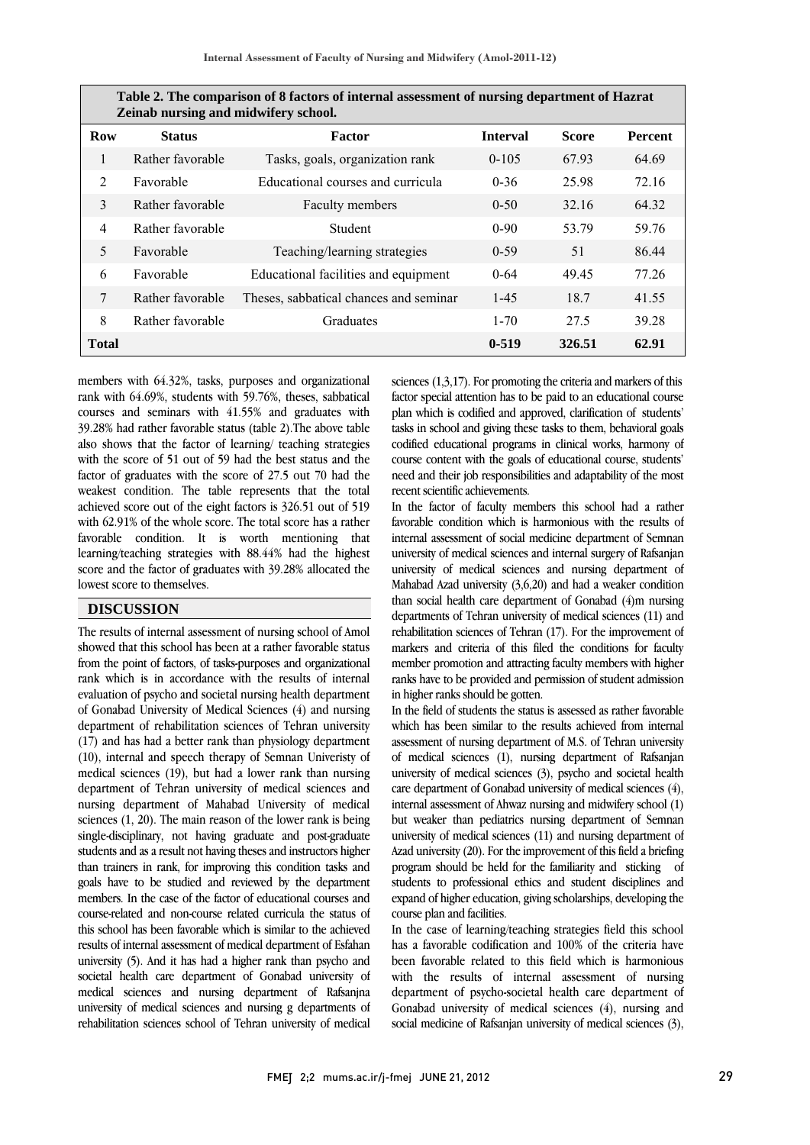| Table 2. The comparison of 8 factors of internal assessment of nursing department of Hazrat<br>Zeinab nursing and midwifery school. |                  |                                        |                 |              |                |  |  |  |
|-------------------------------------------------------------------------------------------------------------------------------------|------------------|----------------------------------------|-----------------|--------------|----------------|--|--|--|
| <b>Row</b>                                                                                                                          | <b>Status</b>    | Factor                                 | <b>Interval</b> | <b>Score</b> | <b>Percent</b> |  |  |  |
| 1                                                                                                                                   | Rather favorable | Tasks, goals, organization rank        | $0 - 105$       | 67.93        | 64.69          |  |  |  |
| $\mathfrak{D}$                                                                                                                      | Favorable        | Educational courses and curricula      | $0 - 36$        | 25.98        | 72.16          |  |  |  |
| $\mathcal{E}$                                                                                                                       | Rather favorable | Faculty members                        | $0 - 50$        | 32.16        | 64.32          |  |  |  |
| $\overline{4}$                                                                                                                      | Rather favorable | <b>Student</b>                         | $0-90$          | 53.79        | 59.76          |  |  |  |
| 5                                                                                                                                   | Favorable        | Teaching/learning strategies           | $0-59$          | 51           | 86.44          |  |  |  |
| 6                                                                                                                                   | Favorable        | Educational facilities and equipment   | $0 - 64$        | 49.45        | 77.26          |  |  |  |
| 7                                                                                                                                   | Rather favorable | Theses, sabbatical chances and seminar | $1-45$          | 18.7         | 41.55          |  |  |  |
| 8                                                                                                                                   | Rather favorable | Graduates                              | $1 - 70$        | 27.5         | 39.28          |  |  |  |
| <b>Total</b>                                                                                                                        |                  |                                        | $0 - 519$       | 326.51       | 62.91          |  |  |  |

I İ

 $\overline{a}$ **Table 2. The comparison of 8 factors of internal assessment of nursing department of Hazrat** 

 members with 64.32%, tasks, purposes and organizational rank with 64.69%, students with 59.76%, theses, sabbatical 39.28% had rather favorable status (table 2).The above table also shows that the factor of learning/ teaching strategies with the score of 51 out of 59 had the best status and the ractor of graduates with the score of 27.5 out 70 had the<br>weakest condition. The table represents that the total achieved score out of the eight factors is 326.51 out of 519 with 62.91% of the whole score. The total score has a rather favorable condition. It is worth mentioning that score and the factor of graduates with 39.28% allocated the courses and seminars with 41.55% and graduates with factor of graduates with the score of 27.5 out 70 had the learning/teaching strategies with 88.44% had the highest lowest score to themselves.

## **DISCUSSION**

showed that this school has been at a rather favorable status from the point of factors, of tasks-purposes and organizational rank which is in accordance with the results of internal evaluation of psycho and societal nursing health department department of rehabilitation sciences of Tehran university (17) and has had a better rank than physiology department (10), internal and speech therapy of Semnan Univeristy of medical sciences (19), but had a lower rank than nursing nursing department of Mahabad University of medical sciences  $(1, 20)$ . The main reason of the lower rank is being single-disciplinary, not having graduate and post-graduate students and as a result not having theses and instructors higher goals have to be studied and reviewed by the department members. In the case of the factor of educational courses and course-related and non-course related curricula the status of results of internal assessment of medical department of Esfahan<br>results of internal assessment of medical department of Esfahan university (5). And it has had a higher rank than psycho and societal health care department of Gonabad university of medical sciences and nursing department of Rafsanjna rehabilitation sciences school of Tehran university of medical The results of internal assessment of nursing school of Amol of Gonabad University of Medical Sciences (4) and nursing department of Tehran university of medical sciences and than trainers in rank, for improving this condition tasks and this school has been favorable which is similar to the achieved university of medical sciences and nursing g departments of

 sciences (1,3,17). For promoting the criteria and markers of this factor special attention has to be paid to an educational course tasks in school and giving these tasks to them, behavioral goals codified educational programs in clinical works, harmony of course content with the goals of educational course, students' need and their job responsibilities and adaptability of the most plan which is codified and approved, clarification of students' recent scientific achievements.

i<br>I

In the factor of faculty members this school had a rather favorable condition which is harmonious with the results of internal assessment of social medicine department of Semnan university of medical sciences and nursing department of Mahabad Azad university (3,6,20) and had a weaker condition than social health care department of Gonabad (4)m nursing departments of Tehran university of medical sciences (11) and markers and criteria of this filed the conditions for faculty member promotion and attracting faculty members with higher ranks have to be provided and permission of student admission university of medical sciences and internal surgery of Rafsanjan rehabilitation sciences of Tehran (17). For the improvement of in higher ranks should be gotten.

in higher ranks should be gotten.<br>In the field of students the status is assessed as rather favorable which has been similar to the results achieved from internal assessment of nursing department of M.S. of Tehran university of medical sciences (1), nursing department of Rafsanjan university of medical sciences  $(3)$ , psycho and societal health  $\frac{1}{1}$  internal assessment of Ahwaz nursing and midwifery school (1) but weaker than pediatrics nursing department of Semnan university of medical sciences (11) and nursing department of Azad university (20). For the improvement of this field a briefing students to professional ethics and student disciplines and expand of higher education, giving scholarships, developing the care department of Gonabad university of medical sciences (4), program should be held for the familiarity and sticking of course plan and facilities.

 has a favorable codification and 100% of the criteria have has a favorable related to this field which is harmonious with the results of internal assessment of nursing department of psycho-societal health care department of social medicine of Rafsanjan university of medical sciences (3), ľ In the case of learning/teaching strategies field this school Gonabad university of medical sciences (4), nursing and